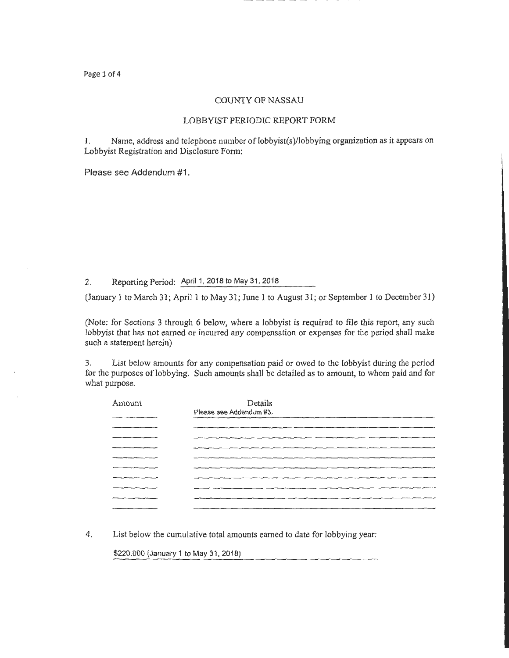### COUNTY OF NASSAU

### LOBBYIST PERIODIC REPORT FORM

1. Name, address and telephone number of lobbyist(s)/lobbying organization as it appears on Lobbyist Registration and Disclosure Form:

Please see Addendum #1.

2. Reporting Period: April 1, 2018 to May 31, 2018

(January 1 to March 31; April 1 to May 31; June 1 to August 31; or September 1 to December 31)

(Note: for Sections 3 through 6 below, where a lobbyist is required to file this report, any such lobbyist that has not earned or incurred any compensation or expenses for the period shall make such a statement herein)

3. List below amounts for any compensation paid or owed to the lobbyist during the period for the purposes of lobbying. Such amounts shall be detailed as to amount, to whom paid and for what purpose.

| Amount | Details<br>Please see Addendum #3. |
|--------|------------------------------------|
|        |                                    |
|        |                                    |
|        |                                    |
|        |                                    |
|        |                                    |
|        |                                    |
|        |                                    |
|        |                                    |
|        |                                    |

4. List below the cumulative total amounts earned to date for lobbying year:

\$220.000 (January 1 to May 31, 2018)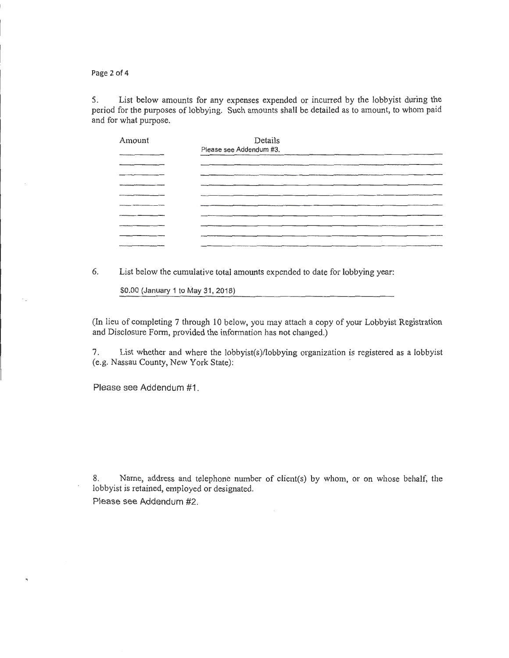Page 2 of 4

5. List below amounts for any expenses expended or incurred by the lobbyist during the period for the purposes of lobbying. Such amounts shall be detailed as to amount, to whom paid and for what purpose.

| Amount | Details                 |                               |                |                      |
|--------|-------------------------|-------------------------------|----------------|----------------------|
|        | Please see Addendum #3. |                               |                |                      |
|        |                         |                               |                |                      |
|        |                         |                               |                |                      |
|        |                         |                               |                |                      |
|        |                         |                               |                | -------------------- |
|        |                         | and the state of the state of |                |                      |
|        |                         |                               |                |                      |
|        |                         |                               |                |                      |
|        |                         |                               | $\overline{z}$ |                      |
|        |                         |                               |                |                      |

6. List below the cumulative total amounts expended to date for lobbying year:

\$0.00 (January 1 to May 31 , 2018)

(In lieu of completing 7 through 10 below, you may attach a copy of your Lobbyist Registration and Disclosure Form, provided the infonnation has not changed.)

7. List whether and where the lobbyist(s)/lobbying organization is registered as a lobbyist (e.g. Nassau County, New York State):

Please see Addendum #1.

8. Name, address and telephone number of client(s) by whom, or on whose behalf, the lobbyist is retained, employed or designated.

Please see Addendum #2.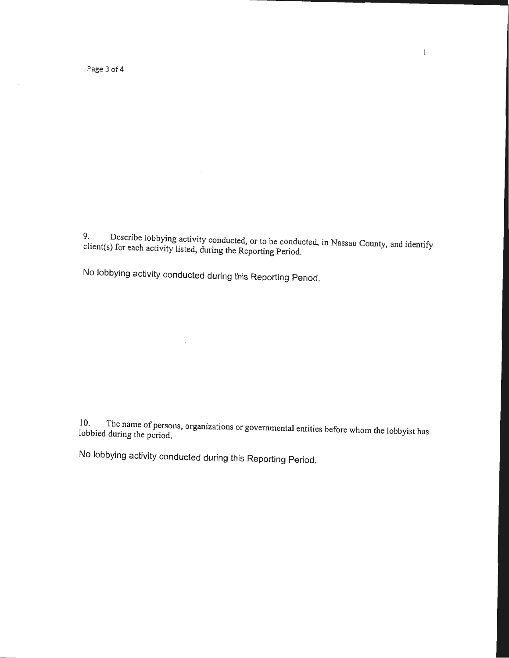Page 3 of 4

 $\epsilon$ 

 $\epsilon$ . Describe lobbying activity conducted, or to be conducted, in Nassau County, and identify client(s) for each activity listed, during the Reporting Period.

No lobbying activity conducted during this Reporting Period.

l 0. The name of persons, organizations or governmental entities before whom the lobbyist has lobbied during the period.

No lobbying activity conducted during this Reporting Period.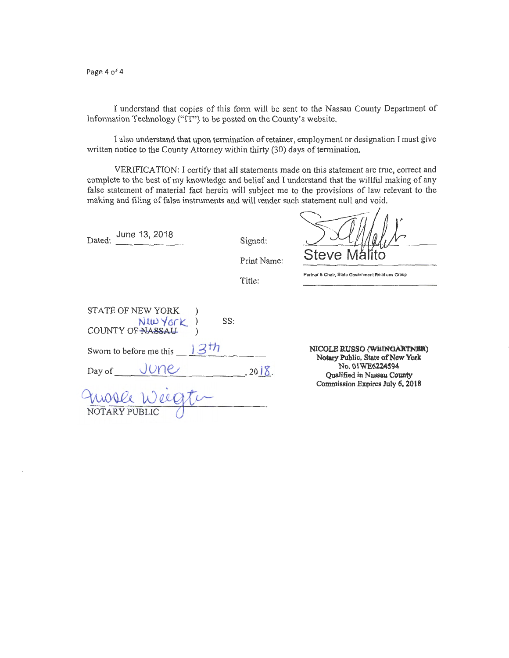Page 4 of 4

I understand that copies of this form will be sent to the Nassau County Department of Information Technology ("IT") to be posted on the County's website.

I also understand that upon termination of retainer, employment or designation I must give written notice to the County Attorney within thirty (30) days of termination.

VERIFICATION: I certify that all statements made on this statement are true, correct and complete to the best of my knowledge and belief and I understand that the willful making of any false statement of material fact herein will subject me to the provisions of law relevant to the making and filing of false instruments and will render such statement null and void.

Dated:  $\frac{\text{June } 13, 2018}{\text{June } 13, 2018}$ 

Signed:

Steve

**Partner & Chair, State Government Relations Group** 

Print Name:

Title:

|                         | STATE OF NEW YORK<br>New York ) | SS: |         |
|-------------------------|---------------------------------|-----|---------|
| Sworn to before me this |                                 |     |         |
| Day of                  | June                            |     | , 2018. |
| NOTARY PUBLIC           | mose weegter                    |     |         |

**NICOLE RUSSO (WEINGARTNER) Notary Public, State of New York No. 01WE6224S94 Qualified in Nassau County Commission Expires July 6, 2018**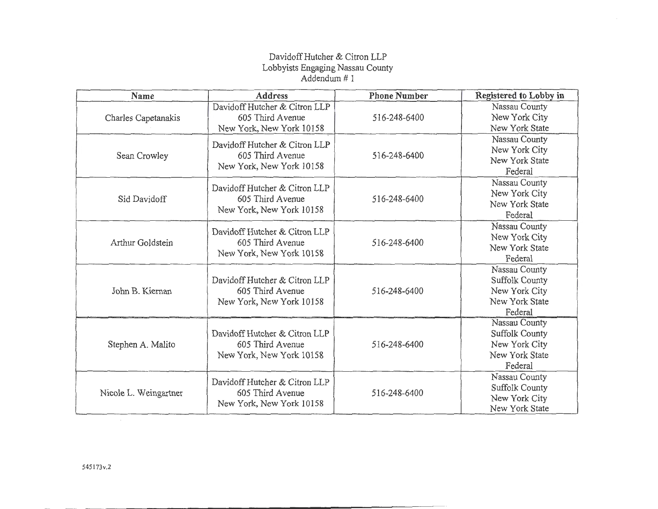## Davidoff Butcher & Citron LLP Lobbyists Engaging Nassau County Addendum# 1

| Name                  | <b>Address</b>                                                                | <b>Phone Number</b> | Registered to Lobby in                                                        |
|-----------------------|-------------------------------------------------------------------------------|---------------------|-------------------------------------------------------------------------------|
| Charles Capetanakis   | Davidoff Hutcher & Citron LLP<br>605 Third Avenue<br>New York, New York 10158 | 516-248-6400        | Nassau County<br>New York City<br>New York State                              |
| Sean Crowley          | Davidoff Hutcher & Citron LLP<br>605 Third Avenue<br>New York, New York 10158 | 516-248-6400        | Nassau County<br>New York City<br>New York State<br>Federal                   |
| Sid Davidoff          | Davidoff Hutcher & Citron LLP<br>605 Third Avenue<br>New York, New York 10158 | 516-248-6400        | Nassau County<br>New York City<br>New York State<br>Federal                   |
| Arthur Goldstein      | Davidoff Hutcher & Citron LLP<br>605 Third Avenue<br>New York, New York 10158 | 516-248-6400        | Nassau County<br>New York City<br>New York State<br>Federal                   |
| John B. Kiernan       | Davidoff Hutcher & Citron LLP<br>605 Third Avenue<br>New York, New York 10158 | 516-248-6400        | Nassau County<br>Suffolk County<br>New York City<br>New York State<br>Federal |
| Stephen A. Malito     | Davidoff Hutcher & Citron LLP<br>605 Third Avenue<br>New York, New York 10158 | 516-248-6400        | Nassau County<br>Suffolk County<br>New York City<br>New York State<br>Federal |
| Nicole L. Weingartner | Davidoff Hutcher & Citron LLP<br>605 Third Avenue<br>New York, New York 10158 | 516-248-6400        | Nassau County<br>Suffolk County<br>New York City<br>New York State            |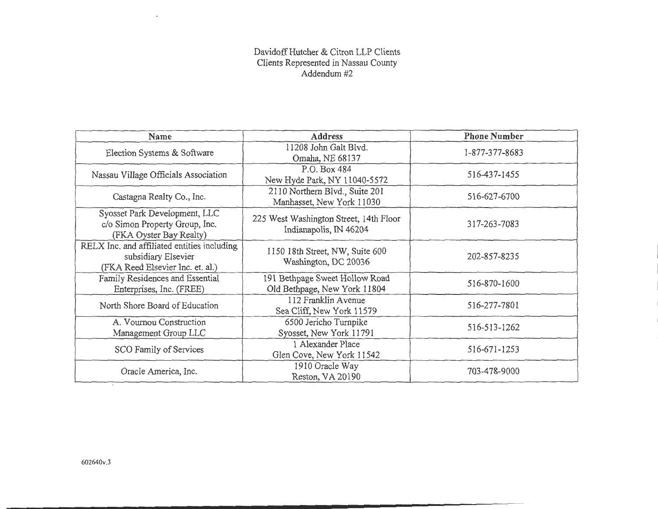## Davidoff Hutcher & Citron LLP Clients Clients Represented in Nassau County Addendum#2

| Name                                                                                                   | <b>Address</b>                                                   | <b>Phone Number</b> |
|--------------------------------------------------------------------------------------------------------|------------------------------------------------------------------|---------------------|
| Election Systems & Software                                                                            | 11208 John Galt Blvd.<br>Omaha, NE 68137                         | 1-877-377-8683      |
| Nassau Village Officials Association                                                                   | P.O. Box 484<br>New Hyde Park, NY 11040-5572                     | 516-437-1455        |
| Castagna Realty Co., Inc.                                                                              | 2110 Northern Blvd., Suite 201<br>Manhasset, New York 11030      | 516-627-6700        |
| Syosset Park Development, LLC<br>c/o Simon Property Group, Inc.<br>(FKA Oyster Bay Realty)             | 225 West Washington Street, 14th Floor<br>Indianapolis, IN 46204 | 317-263-7083        |
| RELX Inc. and affiliated entities including<br>subsidiary Elsevier<br>(FKA Reed Elsevier Inc. et. al.) | 1150 18th Street, NW, Suite 600<br>Washington, DC 20036          | 202-857-8235        |
| Family Residences and Essential<br>Enterprises, Inc. (FREE)                                            | 191 Bethpage Sweet Hollow Road<br>Old Bethpage, New York 11804   | 516-870-1600        |
| North Shore Board of Education                                                                         | 112 Franklin Avenue<br>Sea Cliff, New York 11579                 | 516-277-7801        |
| A. Vournou Construction<br>Management Group LLC                                                        | 6500 Jericho Turnpike<br>Syosset, New York 11791                 | 516-513-1262        |
| SCO Family of Services                                                                                 | 1 Alexander Place<br>Glen Cove, New York 11542                   | 516-671-1253        |
| Oracle America, Inc.                                                                                   | 1910 Oracle Way<br>Reston, VA 20190                              | 703-478-9000        |

 $\bar{\mathbf{v}}$